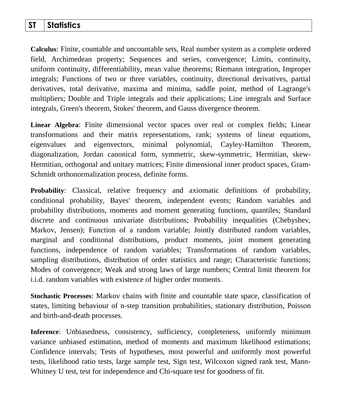## **ST Statistics**

**Calculus**: Finite, countable and uncountable sets, Real number system as a complete ordered field, Archimedean property; Sequences and series, convergence; Limits, continuity, uniform continuity, differentiability, mean value theorems; Riemann integration, Improper integrals; Functions of two or three variables, continuity, directional derivatives, partial derivatives, total derivative, maxima and minima, saddle point, method of Lagrange's multipliers; Double and Triple integrals and their applications; Line integrals and Surface integrals, Green's theorem, Stokes' theorem, and Gauss divergence theorem.

**Linear Algebra**: Finite dimensional vector spaces over real or complex fields; Linear transformations and their matrix representations, rank; systems of linear equations, eigenvalues and eigenvectors, minimal polynomial, Cayley-Hamilton Theorem, diagonalization, Jordan canonical form, symmetric, skew-symmetric, Hermitian, skew-Hermitian, orthogonal and unitary matrices; Finite dimensional inner product spaces, Gram-Schmidt orthonormalization process, definite forms.

**Probability**: Classical, relative frequency and axiomatic definitions of probability, conditional probability, Bayes' theorem, independent events; Random variables and probability distributions, moments and moment generating functions, quantiles; Standard discrete and continuous univariate distributions; Probability inequalities (Chebyshev, Markov, Jensen); Function of a random variable; Jointly distributed random variables, marginal and conditional distributions, product moments, joint moment generating functions, independence of random variables; Transformations of random variables, sampling distributions, distribution of order statistics and range; Characteristic functions; Modes of convergence; Weak and strong laws of large numbers; Central limit theorem for i.i.d. random variables with existence of higher order moments.

**Stochastic Processes**: Markov chains with finite and countable state space, classification of states, limiting behaviour of n-step transition probabilities, stationary distribution, Poisson and birth-and-death processes.

**Inference**: Unbiasedness, consistency, sufficiency, completeness, uniformly minimum variance unbiased estimation, method of moments and maximum likelihood estimations; Confidence intervals; Tests of hypotheses, most powerful and uniformly most powerful tests, likelihood ratio tests, large sample test, Sign test, Wilcoxon signed rank test, Mann-Whitney U test, test for independence and Chi-square test for goodness of fit.